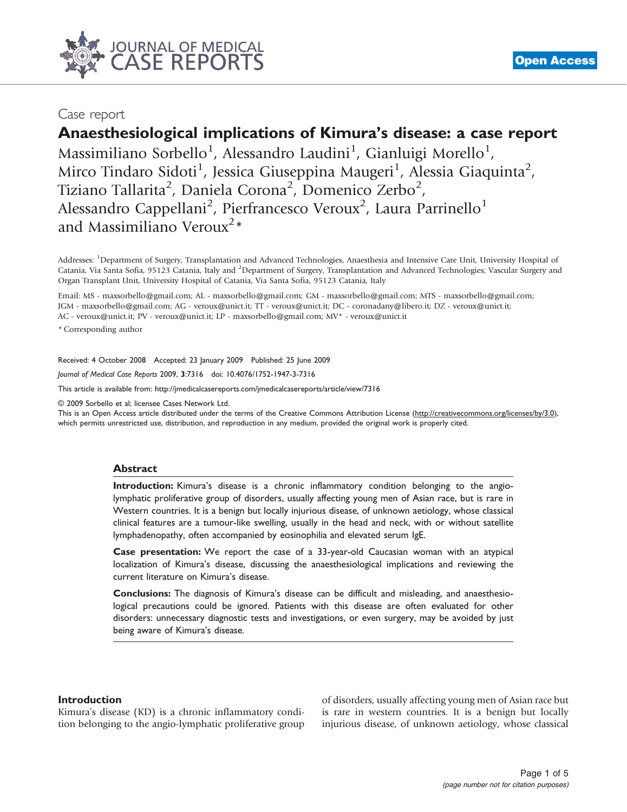

## Case report

## Anaesthesiological implications of Kimura's disease: a case report

Massimiliano Sorbello<sup>1</sup>, Alessandro Laudini<sup>1</sup>, Gianluigi Morello<sup>1</sup>, Mirco Tindaro Sidoti<sup>1</sup>, Jessica Giuseppina Maugeri<sup>1</sup>, Alessia Giaquinta<sup>2</sup>, Tiziano Tallarita<sup>2</sup>, Daniela Corona<sup>2</sup>, Domenico Zerbo<sup>2</sup>, Alessandro Cappellani<sup>2</sup>, Pierfrancesco Veroux<sup>2</sup>, Laura Parrinello<sup>1</sup> and Massimiliano Veroux<sup>2</sup>\*

Addresses: <sup>1</sup>Department of Surgery, Transplantation and Advanced Technologies, Anaesthesia and Intensive Care Unit, University Hospital of Catania, Via Santa Sofia, 95123 Catania, Italy and <sup>2</sup>Department of Surgery, Transplantation and Advanced Technologies; Vascular Surgery and Organ Transplant Unit, University Hospital of Catania, Via Santa Sofia, 95123 Catania, Italy

Email: MS - maxsorbello@gmail.com; AL - maxsorbello@gmail.com; GM - maxsorbello@gmail.com; MTS - maxsorbello@gmail.com; JGM - maxsorbello@gmail.com; AG - veroux@unict.it; TT - veroux@unict.it; DC - coronadany@libero.it; DZ - veroux@unict.it; AC - veroux@unict.it; PV - veroux@unict.it; LP - maxsorbello@gmail.com; MV\* - veroux@unict.it

\* Corresponding author

Received: 4 October 2008 Accepted: 23 January 2009 Published: 25 June 2009

Journal of Medical Case Reports 2009, 3:7316 doi: 10.4076/1752-1947-3-7316

This article is available from:<http://jmedicalcasereports.com/jmedicalcasereports/article/view/7316>

© 2009 Sorbello et al; licensee Cases Network Ltd.

This is an Open Access article distributed under the terms of the Creative Commons Attribution License [\(http://creativecommons.org/licenses/by/3.0\)](http://creativecommons.org/licenses/by/3.0), which permits unrestricted use, distribution, and reproduction in any medium, provided the original work is properly cited.

#### Abstract

Introduction: Kimura's disease is a chronic inflammatory condition belonging to the angiolymphatic proliferative group of disorders, usually affecting young men of Asian race, but is rare in Western countries. It is a benign but locally injurious disease, of unknown aetiology, whose classical clinical features are a tumour-like swelling, usually in the head and neck, with or without satellite lymphadenopathy, often accompanied by eosinophilia and elevated serum IgE.

Case presentation: We report the case of a 33-year-old Caucasian woman with an atypical localization of Kimura's disease, discussing the anaesthesiological implications and reviewing the current literature on Kimura's disease.

Conclusions: The diagnosis of Kimura's disease can be difficult and misleading, and anaesthesiological precautions could be ignored. Patients with this disease are often evaluated for other disorders: unnecessary diagnostic tests and investigations, or even surgery, may be avoided by just being aware of Kimura's disease.

#### Introduction

Kimura's disease (KD) is a chronic inflammatory condition belonging to the angio-lymphatic proliferative group of disorders, usually affecting young men of Asian race but is rare in western countries. It is a benign but locally injurious disease, of unknown aetiology, whose classical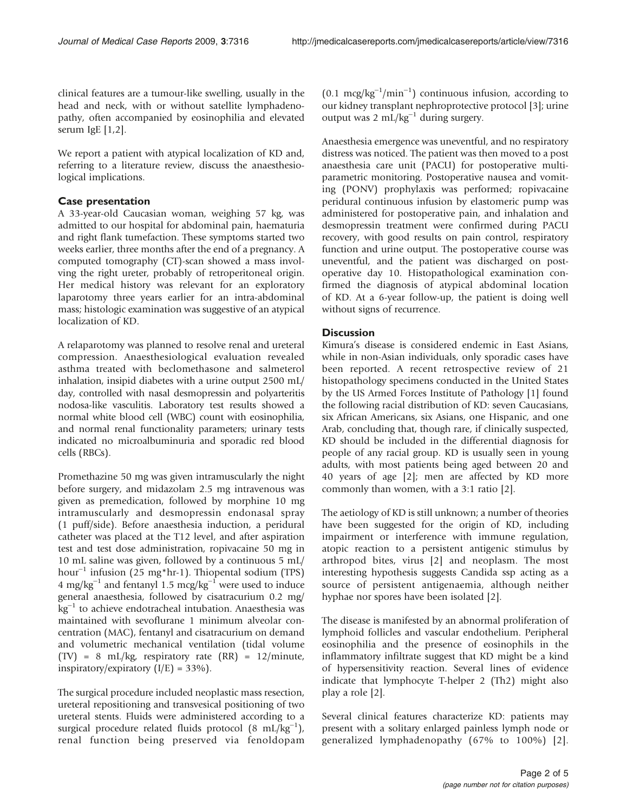clinical features are a tumour-like swelling, usually in the head and neck, with or without satellite lymphadenopathy, often accompanied by eosinophilia and elevated serum IgE [[1,2\]](#page-4-0).

We report a patient with atypical localization of KD and, referring to a literature review, discuss the anaesthesiological implications.

#### Case presentation

A 33-year-old Caucasian woman, weighing 57 kg, was admitted to our hospital for abdominal pain, haematuria and right flank tumefaction. These symptoms started two weeks earlier, three months after the end of a pregnancy. A computed tomography (CT)-scan showed a mass involving the right ureter, probably of retroperitoneal origin. Her medical history was relevant for an exploratory laparotomy three years earlier for an intra-abdominal mass; histologic examination was suggestive of an atypical localization of KD.

A relaparotomy was planned to resolve renal and ureteral compression. Anaesthesiological evaluation revealed asthma treated with beclomethasone and salmeterol inhalation, insipid diabetes with a urine output 2500 mL/ day, controlled with nasal desmopressin and polyarteritis nodosa-like vasculitis. Laboratory test results showed a normal white blood cell (WBC) count with eosinophilia, and normal renal functionality parameters; urinary tests indicated no microalbuminuria and sporadic red blood cells (RBCs).

Promethazine 50 mg was given intramuscularly the night before surgery, and midazolam 2.5 mg intravenous was given as premedication, followed by morphine 10 mg intramuscularly and desmopressin endonasal spray (1 puff/side). Before anaesthesia induction, a peridural catheter was placed at the T12 level, and after aspiration test and test dose administration, ropivacaine 50 mg in 10 mL saline was given, followed by a continuous 5 mL/ hour<sup>-1</sup> infusion (25 mg\*hr-1). Thiopental sodium (TPS) 4 mg/kg $^{-1}$  and fentanyl 1.5 mcg/kg $^{-1}$  were used to induce general anaesthesia, followed by cisatracurium 0.2 mg/  $kg<sup>-1</sup>$  to achieve endotracheal intubation. Anaesthesia was maintained with sevoflurane 1 minimum alveolar concentration (MAC), fentanyl and cisatracurium on demand and volumetric mechanical ventilation (tidal volume (TV) = 8 mL/kg, respiratory rate (RR) = 12/minute, inspiratory/expiratory  $(I/E) = 33\%$ ).

The surgical procedure included neoplastic mass resection, ureteral repositioning and transvesical positioning of two ureteral stents. Fluids were administered according to a surgical procedure related fluids protocol  $(8 \text{ mL/kg}^{-1})$ , renal function being preserved via fenoldopam

 $(0.1 \text{ mcg/kg}^{-1}/\text{min}^{-1})$  continuous infusion, according to our kidney transplant nephroprotective protocol [\[3\]](#page-4-0); urine output was  $2 \text{ mL/kg}^{-1}$  during surgery.

Anaesthesia emergence was uneventful, and no respiratory distress was noticed. The patient was then moved to a post anaesthesia care unit (PACU) for postoperative multiparametric monitoring. Postoperative nausea and vomiting (PONV) prophylaxis was performed; ropivacaine peridural continuous infusion by elastomeric pump was administered for postoperative pain, and inhalation and desmopressin treatment were confirmed during PACU recovery, with good results on pain control, respiratory function and urine output. The postoperative course was uneventful, and the patient was discharged on postoperative day 10. Histopathological examination confirmed the diagnosis of atypical abdominal location of KD. At a 6-year follow-up, the patient is doing well without signs of recurrence.

#### **Discussion**

Kimura's disease is considered endemic in East Asians, while in non-Asian individuals, only sporadic cases have been reported. A recent retrospective review of 21 histopathology specimens conducted in the United States by the US Armed Forces Institute of Pathology [\[1\]](#page-4-0) found the following racial distribution of KD: seven Caucasians, six African Americans, six Asians, one Hispanic, and one Arab, concluding that, though rare, if clinically suspected, KD should be included in the differential diagnosis for people of any racial group. KD is usually seen in young adults, with most patients being aged between 20 and 40 years of age [\[2\]](#page-4-0); men are affected by KD more commonly than women, with a 3:1 ratio [[2](#page-4-0)].

The aetiology of KD is still unknown; a number of theories have been suggested for the origin of KD, including impairment or interference with immune regulation, atopic reaction to a persistent antigenic stimulus by arthropod bites, virus [[2](#page-4-0)] and neoplasm. The most interesting hypothesis suggests Candida ssp acting as a source of persistent antigenaemia, although neither hyphae nor spores have been isolated [\[2\]](#page-4-0).

The disease is manifested by an abnormal proliferation of lymphoid follicles and vascular endothelium. Peripheral eosinophilia and the presence of eosinophils in the inflammatory infiltrate suggest that KD might be a kind of hypersensitivity reaction. Several lines of evidence indicate that lymphocyte T-helper 2 (Th2) might also play a role [\[2\]](#page-4-0).

Several clinical features characterize KD: patients may present with a solitary enlarged painless lymph node or generalized lymphadenopathy (67% to 100%) [[2\]](#page-4-0).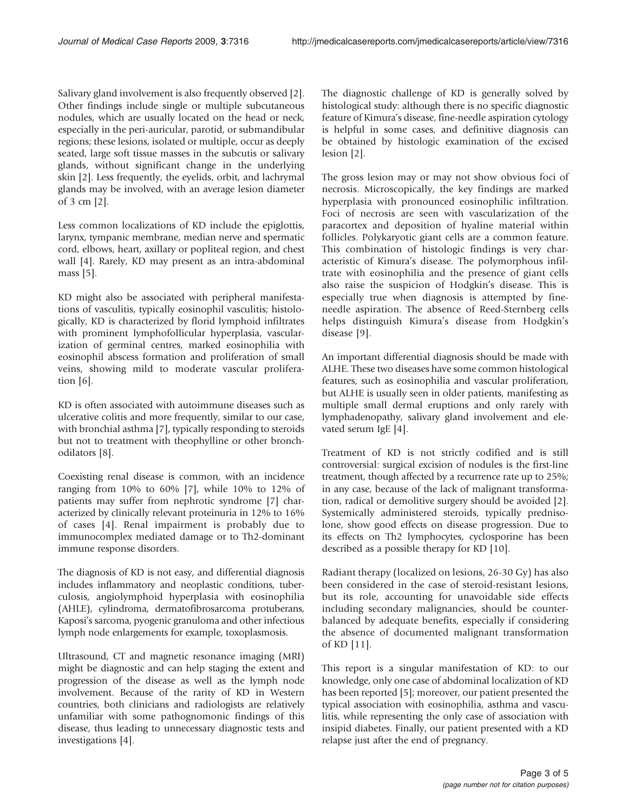Salivary gland involvement is also frequently observed [[2\]](#page-4-0). Other findings include single or multiple subcutaneous nodules, which are usually located on the head or neck, especially in the peri-auricular, parotid, or submandibular regions; these lesions, isolated or multiple, occur as deeply seated, large soft tissue masses in the subcutis or salivary glands, without significant change in the underlying skin [\[2](#page-4-0)]. Less frequently, the eyelids, orbit, and lachrymal glands may be involved, with an average lesion diameter of 3 cm [\[2\]](#page-4-0).

Less common localizations of KD include the epiglottis, larynx, tympanic membrane, median nerve and spermatic cord, elbows, heart, axillary or popliteal region, and chest wall [[4\]](#page-4-0). Rarely, KD may present as an intra-abdominal mass [[5](#page-4-0)].

KD might also be associated with peripheral manifestations of vasculitis, typically eosinophil vasculitis; histologically, KD is characterized by florid lymphoid infiltrates with prominent lymphofollicular hyperplasia, vascularization of germinal centres, marked eosinophilia with eosinophil abscess formation and proliferation of small veins, showing mild to moderate vascular proliferation [\[6](#page-4-0)].

KD is often associated with autoimmune diseases such as ulcerative colitis and more frequently, similar to our case, with bronchial asthma [\[7\]](#page-4-0), typically responding to steroids but not to treatment with theophylline or other bronchodilators [\[8](#page-4-0)].

Coexisting renal disease is common, with an incidence ranging from 10% to 60% [\[7\]](#page-4-0), while 10% to 12% of patients may suffer from nephrotic syndrome [[7](#page-4-0)] characterized by clinically relevant proteinuria in 12% to 16% of cases [[4](#page-4-0)]. Renal impairment is probably due to immunocomplex mediated damage or to Th2-dominant immune response disorders.

The diagnosis of KD is not easy, and differential diagnosis includes inflammatory and neoplastic conditions, tuberculosis, angiolymphoid hyperplasia with eosinophilia (AHLE), cylindroma, dermatofibrosarcoma protuberans, Kaposi's sarcoma, pyogenic granuloma and other infectious lymph node enlargements for example, toxoplasmosis.

Ultrasound, CT and magnetic resonance imaging (MRI) might be diagnostic and can help staging the extent and progression of the disease as well as the lymph node involvement. Because of the rarity of KD in Western countries, both clinicians and radiologists are relatively unfamiliar with some pathognomonic findings of this disease, thus leading to unnecessary diagnostic tests and investigations [\[4\]](#page-4-0).

The diagnostic challenge of KD is generally solved by histological study: although there is no specific diagnostic feature of Kimura's disease, fine-needle aspiration cytology is helpful in some cases, and definitive diagnosis can be obtained by histologic examination of the excised lesion [[2](#page-4-0)].

The gross lesion may or may not show obvious foci of necrosis. Microscopically, the key findings are marked hyperplasia with pronounced eosinophilic infiltration. Foci of necrosis are seen with vascularization of the paracortex and deposition of hyaline material within follicles. Polykaryotic giant cells are a common feature. This combination of histologic findings is very characteristic of Kimura's disease. The polymorphous infiltrate with eosinophilia and the presence of giant cells also raise the suspicion of Hodgkin's disease. This is especially true when diagnosis is attempted by fineneedle aspiration. The absence of Reed-Sternberg cells helps distinguish Kimura's disease from Hodgkin's disease [[9](#page-4-0)].

An important differential diagnosis should be made with ALHE. These two diseases have some common histological features, such as eosinophilia and vascular proliferation, but ALHE is usually seen in older patients, manifesting as multiple small dermal eruptions and only rarely with lymphadenopathy, salivary gland involvement and elevated serum IgE [[4](#page-4-0)].

Treatment of KD is not strictly codified and is still controversial: surgical excision of nodules is the first-line treatment, though affected by a recurrence rate up to 25%; in any case, because of the lack of malignant transformation, radical or demolitive surgery should be avoided [\[2\]](#page-4-0). Systemically administered steroids, typically prednisolone, show good effects on disease progression. Due to its effects on Th2 lymphocytes, cyclosporine has been described as a possible therapy for KD [\[10\]](#page-4-0).

Radiant therapy (localized on lesions, 26-30 Gy) has also been considered in the case of steroid-resistant lesions, but its role, accounting for unavoidable side effects including secondary malignancies, should be counterbalanced by adequate benefits, especially if considering the absence of documented malignant transformation of KD [\[11](#page-4-0)].

This report is a singular manifestation of KD: to our knowledge, only one case of abdominal localization of KD has been reported [\[5](#page-4-0)]; moreover, our patient presented the typical association with eosinophilia, asthma and vasculitis, while representing the only case of association with insipid diabetes. Finally, our patient presented with a KD relapse just after the end of pregnancy.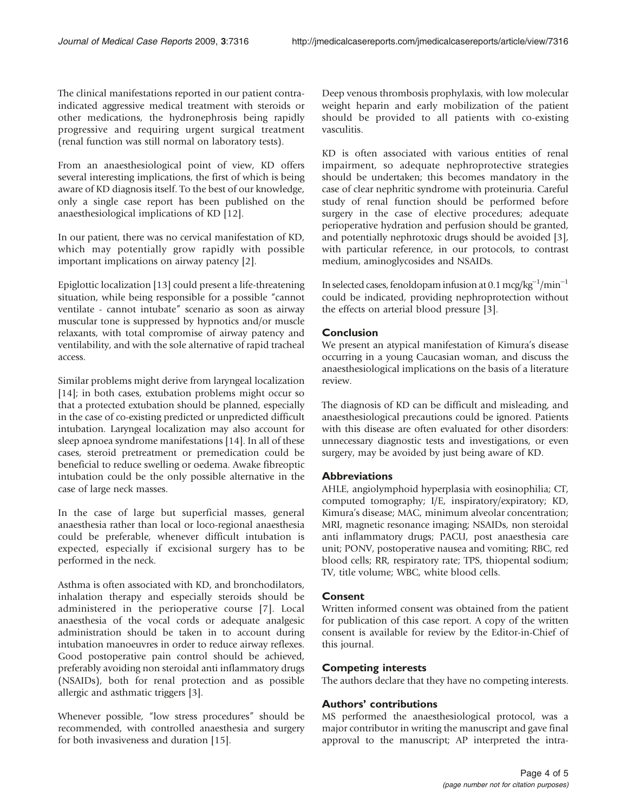The clinical manifestations reported in our patient contraindicated aggressive medical treatment with steroids or other medications, the hydronephrosis being rapidly progressive and requiring urgent surgical treatment (renal function was still normal on laboratory tests).

From an anaesthesiological point of view, KD offers several interesting implications, the first of which is being aware of KD diagnosis itself. To the best of our knowledge, only a single case report has been published on the anaesthesiological implications of KD [[12\]](#page-4-0).

In our patient, there was no cervical manifestation of KD, which may potentially grow rapidly with possible important implications on airway patency [[2\]](#page-4-0).

Epiglottic localization [[13\]](#page-4-0) could present a life-threatening situation, while being responsible for a possible "cannot ventilate - cannot intubate" scenario as soon as airway muscular tone is suppressed by hypnotics and/or muscle relaxants, with total compromise of airway patency and ventilability, and with the sole alternative of rapid tracheal access.

Similar problems might derive from laryngeal localization [\[14\]](#page-4-0); in both cases, extubation problems might occur so that a protected extubation should be planned, especially in the case of co-existing predicted or unpredicted difficult intubation. Laryngeal localization may also account for sleep apnoea syndrome manifestations [\[14](#page-4-0)]. In all of these cases, steroid pretreatment or premedication could be beneficial to reduce swelling or oedema. Awake fibreoptic intubation could be the only possible alternative in the case of large neck masses.

In the case of large but superficial masses, general anaesthesia rather than local or loco-regional anaesthesia could be preferable, whenever difficult intubation is expected, especially if excisional surgery has to be performed in the neck.

Asthma is often associated with KD, and bronchodilators, inhalation therapy and especially steroids should be administered in the perioperative course [[7](#page-4-0)]. Local anaesthesia of the vocal cords or adequate analgesic administration should be taken in to account during intubation manoeuvres in order to reduce airway reflexes. Good postoperative pain control should be achieved, preferably avoiding non steroidal anti inflammatory drugs (NSAIDs), both for renal protection and as possible allergic and asthmatic triggers [\[3\]](#page-4-0).

Whenever possible, "low stress procedures" should be recommended, with controlled anaesthesia and surgery for both invasiveness and duration [\[15](#page-4-0)].

Deep venous thrombosis prophylaxis, with low molecular weight heparin and early mobilization of the patient should be provided to all patients with co-existing vasculitis.

KD is often associated with various entities of renal impairment, so adequate nephroprotective strategies should be undertaken; this becomes mandatory in the case of clear nephritic syndrome with proteinuria. Careful study of renal function should be performed before surgery in the case of elective procedures; adequate perioperative hydration and perfusion should be granted, and potentially nephrotoxic drugs should be avoided [\[3\]](#page-4-0), with particular reference, in our protocols, to contrast medium, aminoglycosides and NSAIDs.

In selected cases, fenoldopam infusion at 0.1  $\text{mcg/kg}^{-1}/\text{min}^{-1}$ could be indicated, providing nephroprotection without the effects on arterial blood pressure [[3](#page-4-0)].

#### Conclusion

We present an atypical manifestation of Kimura's disease occurring in a young Caucasian woman, and discuss the anaesthesiological implications on the basis of a literature review.

The diagnosis of KD can be difficult and misleading, and anaesthesiological precautions could be ignored. Patients with this disease are often evaluated for other disorders: unnecessary diagnostic tests and investigations, or even surgery, may be avoided by just being aware of KD.

#### Abbreviations

AHLE, angiolymphoid hyperplasia with eosinophilia; CT, computed tomography; I/E, inspiratory/expiratory; KD, Kimura's disease; MAC, minimum alveolar concentration; MRI, magnetic resonance imaging; NSAIDs, non steroidal anti inflammatory drugs; PACU, post anaesthesia care unit; PONV, postoperative nausea and vomiting; RBC, red blood cells; RR, respiratory rate; TPS, thiopental sodium; TV, title volume; WBC, white blood cells.

#### Consent

Written informed consent was obtained from the patient for publication of this case report. A copy of the written consent is available for review by the Editor-in-Chief of this journal.

#### Competing interests

The authors declare that they have no competing interests.

### Authors' contributions

MS performed the anaesthesiological protocol, was a major contributor in writing the manuscript and gave final approval to the manuscript; AP interpreted the intra